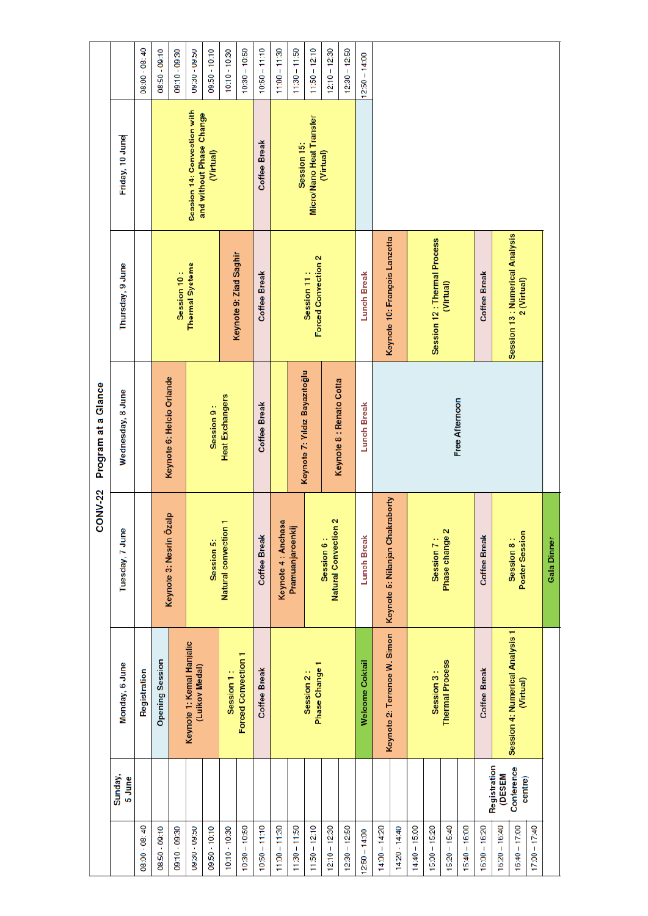|                 |                               |                                              | CONV-22                            | Program at a Glance           |                                               |                                                         |                 |
|-----------------|-------------------------------|----------------------------------------------|------------------------------------|-------------------------------|-----------------------------------------------|---------------------------------------------------------|-----------------|
|                 | Sunday,<br>5 June             | Monday, 6 June                               | Tuesday, 7 June                    | Wednesday, 8 June             | Thursday, 9 June                              | Friday, 10 June                                         |                 |
| 08:00 - 08:40   |                               | Registration                                 |                                    |                               |                                               |                                                         | 08:00 - 08:40   |
| 08:50 - 09:10   |                               | <b>Opening Session</b>                       | Keynote 3: Nesrin Özalp            |                               |                                               |                                                         | 08:50 - 09:10   |
| 09:10 - 09:30   |                               |                                              |                                    | Keynote 6: Helcio Orlande     | Session 10:                                   |                                                         | 09:10 - 09:30   |
| 09:30 - 09:50   |                               | Keynote 1: Kemal Hanjalic<br>(Luikov Medal)  |                                    |                               | <b>Thermal Systems</b>                        | Session 14: Convection with<br>and without Phase Change | 09:00 - 08:00   |
| 09:50 - 10:10   |                               |                                              | Session 5:                         | Session 9:                    |                                               | (Virtual)                                               | 09:50 - 10:10   |
| $10:10 - 10:30$ |                               | Session 1:                                   | Natural convection 1               | <b>Heat Exchangers</b>        |                                               |                                                         | $10:10 - 10:30$ |
| $10:30 - 10:50$ |                               | <b>Forced Convection 1</b>                   |                                    |                               | Keynote 9: Ziad Saghir                        |                                                         | $10:30 - 10:50$ |
| $10:50 - 11:10$ |                               | <b>Coffee Break</b>                          | <b>Coffee Break</b>                | <b>Coffee Break</b>           | <b>Coffee Break</b>                           | <b>Coffee Break</b>                                     | $10:50 - 11:10$ |
| $11:00 - 11:30$ |                               |                                              | Keynote 4 : Anchasa                |                               |                                               |                                                         | $11:00 - 11:30$ |
| $11:30 - 11:50$ |                               |                                              | Pramuanjaroenkij                   |                               |                                               | Session 15:                                             | $11:30 - 11:50$ |
| $11:50 - 12:10$ |                               | Phase Change 1<br>Session 2:                 |                                    | Keynote 7: Yıldız Bayazıtoğlu | Forced Convection 2<br>Session 11:            | Micro/Nano Heat Transfer                                | $11:50 - 12:10$ |
| $12:10 - 12:30$ |                               |                                              | Natural Convection 2<br>Session 6: | Keynote 8 : Renato Cotta      |                                               | (Virtual)                                               | $12:10 - 12:30$ |
| $12:30 - 12:50$ |                               |                                              |                                    |                               |                                               |                                                         | $12:30 - 12:50$ |
| $2:50 - 14:00$  |                               | <b>Welcome Coktail</b>                       | <b>Lunch Break</b>                 | <b>Lunch Break</b>            | <b>Lunch Break</b>                            |                                                         | $12:50 - 14:00$ |
| $14:00 - 14:20$ |                               | Keynote 2: Terrence W. Simon                 | Keynote 5: Nilanjan Chakraborty    |                               | Keynote 10: François Lanzetta                 |                                                         |                 |
| 14:20 - 14:40   |                               |                                              |                                    |                               |                                               |                                                         |                 |
| $14:40 - 15:00$ |                               |                                              |                                    |                               |                                               |                                                         |                 |
| $15:00 - 15:20$ |                               | Session 3:                                   | Session 7:                         |                               | Session 12 : Thermal Process                  |                                                         |                 |
| $15:20 - 15:40$ |                               | <b>Thermal Process</b>                       | Phase change 2                     | Free Afternoon                | (Virtual)                                     |                                                         |                 |
| $15:40 - 16:00$ |                               |                                              |                                    |                               |                                               |                                                         |                 |
| $16:00 - 16:20$ |                               | <b>Coffee Break</b>                          | <b>Coffee Break</b>                |                               | <b>Coffee Break</b>                           |                                                         |                 |
| $16:20 - 16:40$ | Registration<br><b>(DESEM</b> |                                              |                                    |                               |                                               |                                                         |                 |
| $16:40 - 17:00$ | Conference<br>centre)         | Session 4: Numerical Analysis 1<br>(Virtual) | Poster Session<br>Session 8:       |                               | Session 13: Numerical Analysis<br>2 (Virtual) |                                                         |                 |
| $17:00 - 17:40$ |                               |                                              |                                    |                               |                                               |                                                         |                 |
|                 |                               |                                              | Gala Dinner                        |                               |                                               |                                                         |                 |
|                 |                               |                                              |                                    |                               |                                               |                                                         |                 |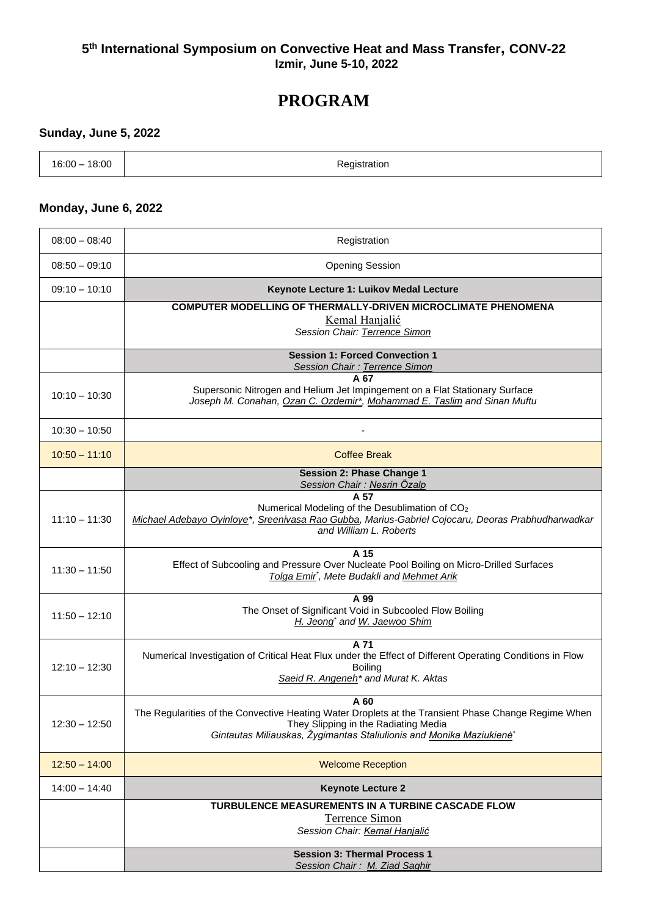#### **5 th International Symposium on Convective Heat and Mass Transfer, CONV-22 Izmir, June 5-10, 2022**

# **PROGRAM**

#### **Sunday, June 5, 2022**

| 18:00<br>$16:00 -$<br>____ | Registration |
|----------------------------|--------------|
|                            |              |

#### **Monday, June 6, 2022**

| $08:00 - 08:40$ | Registration                                                                                                                                           |
|-----------------|--------------------------------------------------------------------------------------------------------------------------------------------------------|
| $08:50 - 09:10$ | <b>Opening Session</b>                                                                                                                                 |
| $09:10 - 10:10$ | Keynote Lecture 1: Luikov Medal Lecture                                                                                                                |
|                 | <b>COMPUTER MODELLING OF THERMALLY-DRIVEN MICROCLIMATE PHENOMENA</b>                                                                                   |
|                 | <b>Kemal Hanjalić</b><br>Session Chair: Terrence Simon                                                                                                 |
|                 |                                                                                                                                                        |
|                 | <b>Session 1: Forced Convection 1</b><br>Session Chair: Terrence Simon                                                                                 |
|                 | A 67                                                                                                                                                   |
| $10:10 - 10:30$ | Supersonic Nitrogen and Helium Jet Impingement on a Flat Stationary Surface<br>Joseph M. Conahan, Ozan C. Ozdemir*, Mohammad E. Taslim and Sinan Muftu |
|                 |                                                                                                                                                        |
| $10:30 - 10:50$ |                                                                                                                                                        |
| $10:50 - 11:10$ | <b>Coffee Break</b>                                                                                                                                    |
|                 | <b>Session 2: Phase Change 1</b>                                                                                                                       |
|                 | Session Chair: Nesrin Özalp<br>A 57                                                                                                                    |
|                 | Numerical Modeling of the Desublimation of CO <sub>2</sub>                                                                                             |
| $11:10 - 11:30$ | Michael Adebayo Oyinloye*, Sreenivasa Rao Gubba, Marius-Gabriel Cojocaru, Deoras Prabhudharwadkar<br>and William L. Roberts                            |
|                 |                                                                                                                                                        |
|                 | A 15<br>Effect of Subcooling and Pressure Over Nucleate Pool Boiling on Micro-Drilled Surfaces                                                         |
| $11:30 - 11:50$ | Tolga Emir <sup>*</sup> , Mete Budakli and Mehmet Arik                                                                                                 |
|                 | A 99                                                                                                                                                   |
| $11:50 - 12:10$ | The Onset of Significant Void in Subcooled Flow Boiling                                                                                                |
|                 | H. Jeong' and W. Jaewoo Shim                                                                                                                           |
|                 | A 71                                                                                                                                                   |
| $12:10 - 12:30$ | Numerical Investigation of Critical Heat Flux under the Effect of Different Operating Conditions in Flow<br><b>Boiling</b>                             |
|                 | Saeid R. Angeneh <sup>*</sup> and Murat K. Aktas                                                                                                       |
|                 | A 60                                                                                                                                                   |
|                 | The Regularities of the Convective Heating Water Droplets at the Transient Phase Change Regime When                                                    |
| $12:30 - 12:50$ | They Slipping in the Radiating Media                                                                                                                   |
|                 | Gintautas Miliauskas, Žygimantas Staliulionis and Monika Maziukienė*                                                                                   |
| $12:50 - 14:00$ | <b>Welcome Reception</b>                                                                                                                               |
| $14:00 - 14:40$ | <b>Keynote Lecture 2</b>                                                                                                                               |
|                 | TURBULENCE MEASUREMENTS IN A TURBINE CASCADE FLOW                                                                                                      |
|                 | <b>Terrence Simon</b><br>Session Chair: Kemal Hanjalić                                                                                                 |
|                 |                                                                                                                                                        |
|                 | <b>Session 3: Thermal Process 1</b><br>Session Chair: M. Ziad Saghir                                                                                   |
|                 |                                                                                                                                                        |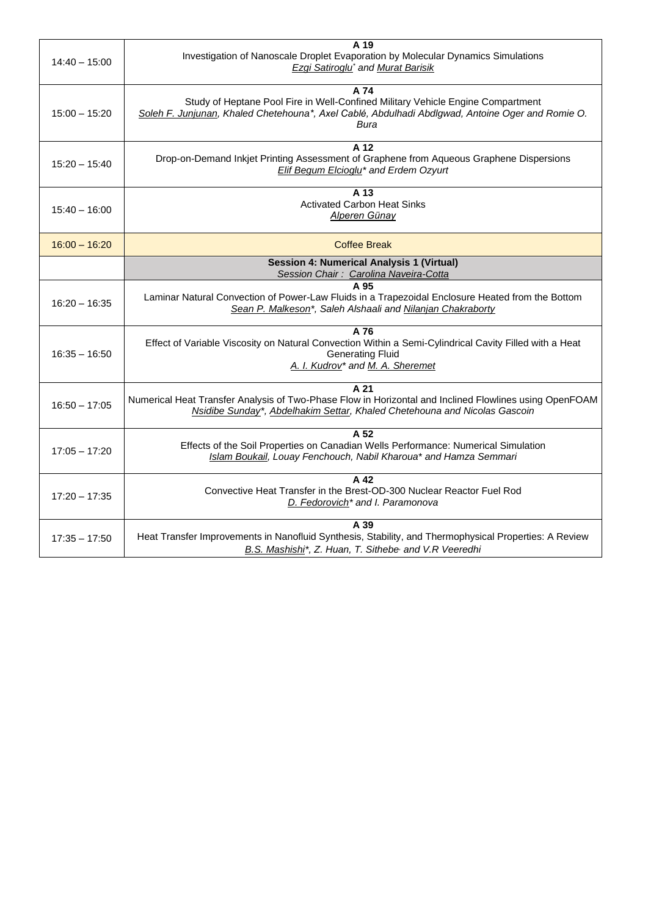| $14:40 - 15:00$ | A 19<br>Investigation of Nanoscale Droplet Evaporation by Molecular Dynamics Simulations<br><b>Ezgi Satiroglu</b> <sup>*</sup> and Murat Barisik                                                    |
|-----------------|-----------------------------------------------------------------------------------------------------------------------------------------------------------------------------------------------------|
| $15:00 - 15:20$ | A 74<br>Study of Heptane Pool Fire in Well-Confined Military Vehicle Engine Compartment<br>Soleh F. Junjunan, Khaled Chetehouna*, Axel Cablé, Abdulhadi Abdlgwad, Antoine Oger and Romie O.<br>Bura |
| $15:20 - 15:40$ | $\overline{A}$ 12<br>Drop-on-Demand Inkjet Printing Assessment of Graphene from Aqueous Graphene Dispersions<br>Elif Begum Elcioglu* and Erdem Ozyurt                                               |
| $15:40 - 16:00$ | A 13<br><b>Activated Carbon Heat Sinks</b><br>Alperen Günay                                                                                                                                         |
| $16:00 - 16:20$ | <b>Coffee Break</b>                                                                                                                                                                                 |
|                 | <b>Session 4: Numerical Analysis 1 (Virtual)</b><br>Session Chair: Carolina Naveira-Cotta                                                                                                           |
| $16:20 - 16:35$ | A 95<br>Laminar Natural Convection of Power-Law Fluids in a Trapezoidal Enclosure Heated from the Bottom<br>Sean P. Malkeson*, Saleh Alshaali and Nilanjan Chakraborty                              |
| $16:35 - 16:50$ | A 76<br>Effect of Variable Viscosity on Natural Convection Within a Semi-Cylindrical Cavity Filled with a Heat<br><b>Generating Fluid</b><br>A. I. Kudrov* and M. A. Sheremet                       |
| $16:50 - 17:05$ | A 21<br>Numerical Heat Transfer Analysis of Two-Phase Flow in Horizontal and Inclined Flowlines using OpenFOAM<br>Nsidibe Sunday*, Abdelhakim Settar, Khaled Chetehouna and Nicolas Gascoin         |
| $17:05 - 17:20$ | A 52<br>Effects of the Soil Properties on Canadian Wells Performance: Numerical Simulation<br>Islam Boukail, Louay Fenchouch, Nabil Kharoua* and Hamza Semmari                                      |
| $17:20 - 17:35$ | A 42<br>Convective Heat Transfer in the Brest-OD-300 Nuclear Reactor Fuel Rod<br>D. Fedorovich <sup>*</sup> and I. Paramonova                                                                       |
| $17:35 - 17:50$ | A 39<br>Heat Transfer Improvements in Nanofluid Synthesis, Stability, and Thermophysical Properties: A Review<br>B.S. Mashishi*, Z. Huan, T. Sithebe <sup>,</sup> and V.R Veeredhi                  |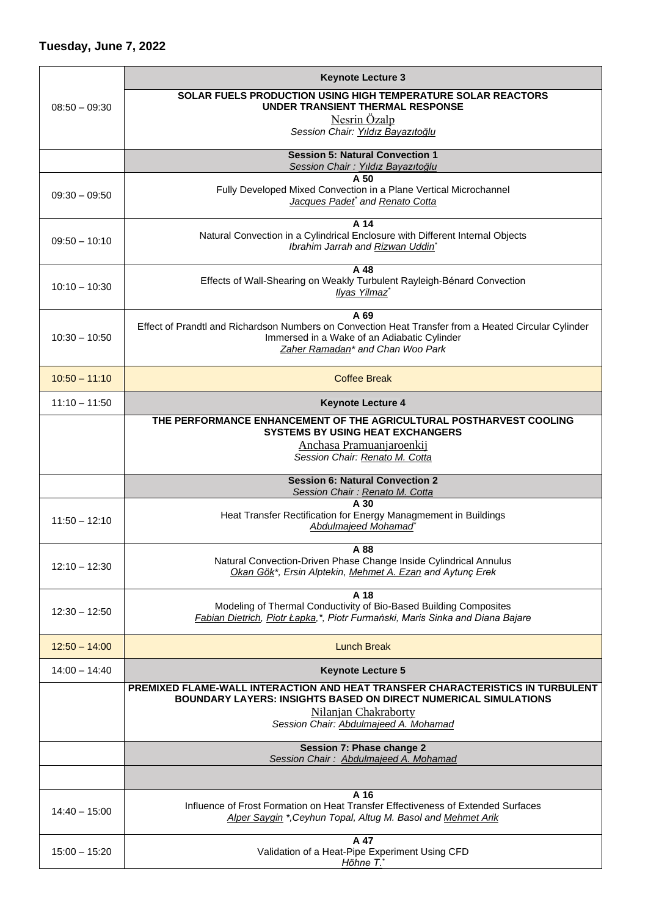|                 | <b>Keynote Lecture 3</b>                                                                                                                                                                        |
|-----------------|-------------------------------------------------------------------------------------------------------------------------------------------------------------------------------------------------|
| $08:50 - 09:30$ | <b>SOLAR FUELS PRODUCTION USING HIGH TEMPERATURE SOLAR REACTORS</b><br>UNDER TRANSIENT THERMAL RESPONSE                                                                                         |
|                 | Nesrin Özalp<br>Session Chair: Yıldız Bayazıtoğlu                                                                                                                                               |
|                 | <b>Session 5: Natural Convection 1</b>                                                                                                                                                          |
|                 | Session Chair: Yıldız Bayazıtoğlu<br>A 50                                                                                                                                                       |
| $09:30 - 09:50$ | Fully Developed Mixed Convection in a Plane Vertical Microchannel<br>Jacques Padet* and Renato Cotta                                                                                            |
| $09:50 - 10:10$ | A 14<br>Natural Convection in a Cylindrical Enclosure with Different Internal Objects<br>Ibrahim Jarrah and Rizwan Uddin'                                                                       |
| $10:10 - 10:30$ | A 48<br>Effects of Wall-Shearing on Weakly Turbulent Rayleigh-Bénard Convection<br>Ilyas Yilmaz <sup>*</sup>                                                                                    |
| $10:30 - 10:50$ | A 69<br>Effect of Prandtl and Richardson Numbers on Convection Heat Transfer from a Heated Circular Cylinder<br>Immersed in a Wake of an Adiabatic Cylinder<br>Zaher Ramadan* and Chan Woo Park |
| $10:50 - 11:10$ | <b>Coffee Break</b>                                                                                                                                                                             |
| $11:10 - 11:50$ | <b>Keynote Lecture 4</b>                                                                                                                                                                        |
|                 | THE PERFORMANCE ENHANCEMENT OF THE AGRICULTURAL POSTHARVEST COOLING<br><b>SYSTEMS BY USING HEAT EXCHANGERS</b>                                                                                  |
|                 | Anchasa Pramuanjaroenkij<br>Session Chair: Renato M. Cotta                                                                                                                                      |
|                 | <b>Session 6: Natural Convection 2</b><br>Session Chair: Renato M. Cotta                                                                                                                        |
| $11:50 - 12:10$ | A 30<br>Heat Transfer Rectification for Energy Managmement in Buildings<br>Abdulmajeed Mohamad                                                                                                  |
| $12:10 - 12:30$ | A 88<br>Natural Convection-Driven Phase Change Inside Cylindrical Annulus<br>Okan Gök*, Ersin Alptekin, Mehmet A. Ezan and Aytunç Erek                                                          |
| $12:30 - 12:50$ | A 18<br>Modeling of Thermal Conductivity of Bio-Based Building Composites<br>Fabian Dietrich, Piotr Łapka,*, Piotr Furmański, Maris Sinka and Diana Bajare                                      |
| $12:50 - 14:00$ | <b>Lunch Break</b>                                                                                                                                                                              |
| $14:00 - 14:40$ | <b>Keynote Lecture 5</b>                                                                                                                                                                        |
|                 | PREMIXED FLAME-WALL INTERACTION AND HEAT TRANSFER CHARACTERISTICS IN TURBULENT<br>BOUNDARY LAYERS: INSIGHTS BASED ON DIRECT NUMERICAL SIMULATIONS                                               |
|                 | Nilanjan Chakraborty<br>Session Chair: Abdulmajeed A. Mohamad                                                                                                                                   |
|                 | <b>Session 7: Phase change 2</b><br>Session Chair: Abdulmajeed A. Mohamad                                                                                                                       |
|                 |                                                                                                                                                                                                 |
| $14:40 - 15:00$ | A 16<br>Influence of Frost Formation on Heat Transfer Effectiveness of Extended Surfaces<br>Alper Saygin *, Ceyhun Topal, Altug M. Basol and Mehmet Arik                                        |
| $15:00 - 15:20$ | A 47<br>Validation of a Heat-Pipe Experiment Using CFD<br>Höhne T.*                                                                                                                             |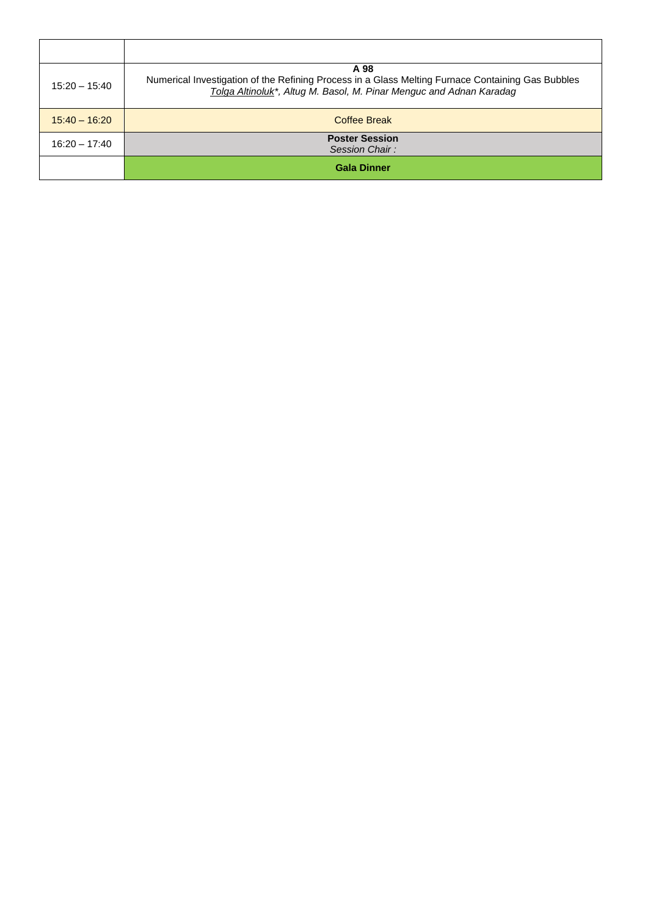| $15:20 - 15:40$ | A 98<br>Numerical Investigation of the Refining Process in a Glass Melting Furnace Containing Gas Bubbles<br>Tolga Altinoluk*, Altug M. Basol, M. Pinar Menguc and Adnan Karadag |
|-----------------|----------------------------------------------------------------------------------------------------------------------------------------------------------------------------------|
| $15:40 - 16:20$ | Coffee Break                                                                                                                                                                     |
| $16:20 - 17:40$ | <b>Poster Session</b><br>Session Chair:                                                                                                                                          |
|                 | <b>Gala Dinner</b>                                                                                                                                                               |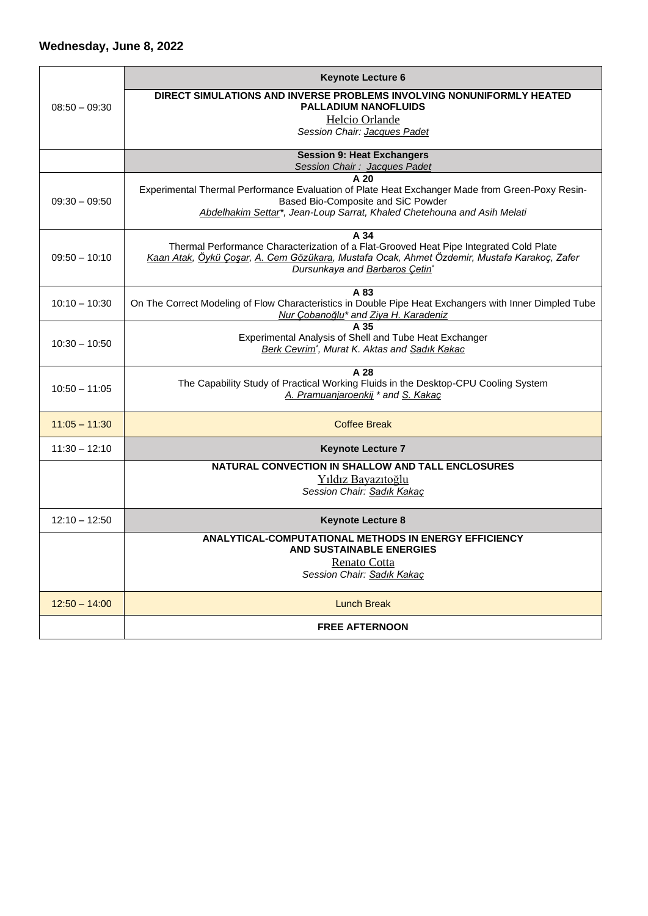|                 | <b>Keynote Lecture 6</b>                                                                                                                       |
|-----------------|------------------------------------------------------------------------------------------------------------------------------------------------|
| $08:50 - 09:30$ | DIRECT SIMULATIONS AND INVERSE PROBLEMS INVOLVING NONUNIFORMLY HEATED<br><b>PALLADIUM NANOFLUIDS</b>                                           |
|                 | Helcio Orlande                                                                                                                                 |
|                 | Session Chair: Jacques Padet                                                                                                                   |
|                 | <b>Session 9: Heat Exchangers</b>                                                                                                              |
|                 | Session Chair: Jacques Padet<br>A <sub>20</sub>                                                                                                |
|                 | Experimental Thermal Performance Evaluation of Plate Heat Exchanger Made from Green-Poxy Resin-                                                |
| $09:30 - 09:50$ | Based Bio-Composite and SiC Powder                                                                                                             |
|                 | Abdelhakim Settar*, Jean-Loup Sarrat, Khaled Chetehouna and Asih Melati                                                                        |
|                 | A 34<br>Thermal Performance Characterization of a Flat-Grooved Heat Pipe Integrated Cold Plate                                                 |
| $09:50 - 10:10$ | Kaan Atak, Öykü Çoşar, A. Cem Gözükara, Mustafa Ocak, Ahmet Özdemir, Mustafa Karakoç, Zafer                                                    |
|                 | Dursunkaya and Barbaros Cetin*                                                                                                                 |
|                 | A 83                                                                                                                                           |
| $10:10 - 10:30$ | On The Correct Modeling of Flow Characteristics in Double Pipe Heat Exchangers with Inner Dimpled Tube<br>Nur Çobanoğlu* and Ziya H. Karadeniz |
|                 | A 35                                                                                                                                           |
| $10:30 - 10:50$ | Experimental Analysis of Shell and Tube Heat Exchanger<br>Berk Cevrim <sup>*</sup> , Murat K. Aktas and Sadık Kakac                            |
|                 |                                                                                                                                                |
|                 | A 28<br>The Capability Study of Practical Working Fluids in the Desktop-CPU Cooling System                                                     |
| $10:50 - 11:05$ | A. Pramuanjaroenkij * and S. Kakaç                                                                                                             |
|                 |                                                                                                                                                |
| $11:05 - 11:30$ | <b>Coffee Break</b>                                                                                                                            |
| $11:30 - 12:10$ | <b>Keynote Lecture 7</b>                                                                                                                       |
|                 | NATURAL CONVECTION IN SHALLOW AND TALL ENCLOSURES                                                                                              |
|                 | Yıldız Bayazıtoğlu<br>Session Chair: Sadık Kakaç                                                                                               |
|                 |                                                                                                                                                |
| $12:10 - 12:50$ | <b>Keynote Lecture 8</b>                                                                                                                       |
|                 | <b>ANALYTICAL-COMPUTATIONAL METHODS IN ENERGY EFFICIENCY</b>                                                                                   |
|                 | <b>AND SUSTAINABLE ENERGIES</b><br>Renato Cotta                                                                                                |
|                 | Session Chair: Sadık Kakaç                                                                                                                     |
|                 |                                                                                                                                                |
| $12:50 - 14:00$ | <b>Lunch Break</b>                                                                                                                             |
|                 | <b>FREE AFTERNOON</b>                                                                                                                          |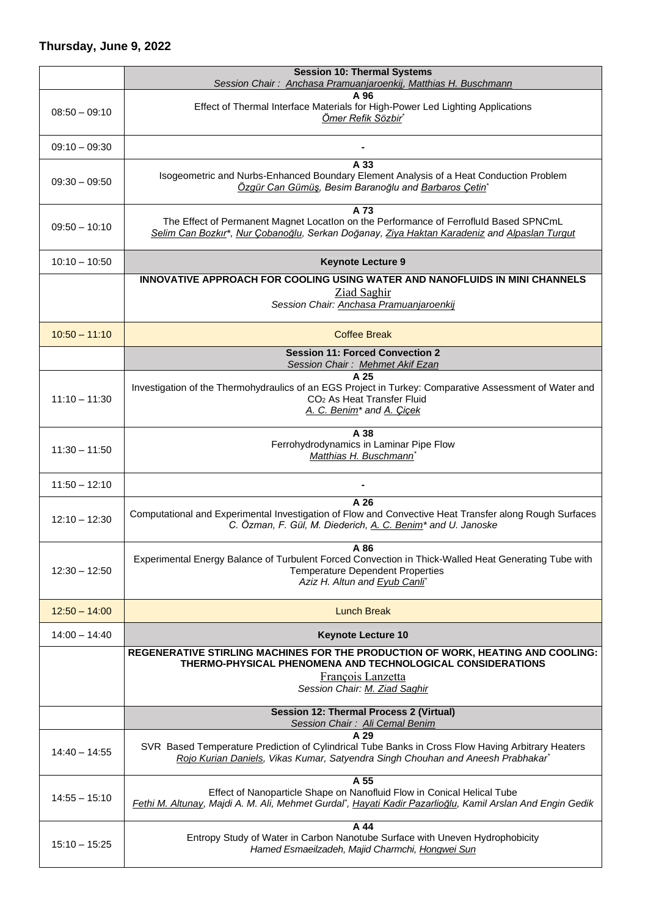## **Thursday, June 9, 2022**

|                 | <b>Session 10: Thermal Systems</b><br>Session Chair: Anchasa Pramuanjaroenkij, Matthias H. Buschmann                                                                                                     |
|-----------------|----------------------------------------------------------------------------------------------------------------------------------------------------------------------------------------------------------|
|                 | A 96                                                                                                                                                                                                     |
| $08:50 - 09:10$ | Effect of Thermal Interface Materials for High-Power Led Lighting Applications<br>Ömer Refik Sözbir*                                                                                                     |
| $09:10 - 09:30$ |                                                                                                                                                                                                          |
| $09:30 - 09:50$ | A 33<br>Isogeometric and Nurbs-Enhanced Boundary Element Analysis of a Heat Conduction Problem<br>Özgür Can Gümüş, Besim Baranoğlu and Barbaros Çetin*                                                   |
| $09:50 - 10:10$ | A 73<br>The Effect of Permanent Magnet Location on the Performance of Ferrofiuld Based SPNCmL<br>Selim Can Bozkır*, Nur Çobanoğlu, Serkan Doğanay, Ziya Haktan Karadeniz and Alpaslan Turgut             |
| $10:10 - 10:50$ | <b>Keynote Lecture 9</b>                                                                                                                                                                                 |
|                 | INNOVATIVE APPROACH FOR COOLING USING WATER AND NANOFLUIDS IN MINI CHANNELS<br>Ziad Saghir<br>Session Chair: Anchasa Pramuanjaroenkij                                                                    |
| $10:50 - 11:10$ | <b>Coffee Break</b>                                                                                                                                                                                      |
|                 | <b>Session 11: Forced Convection 2</b><br>Session Chair: Mehmet Akif Ezan                                                                                                                                |
| $11:10 - 11:30$ | A 25<br>Investigation of the Thermohydraulics of an EGS Project in Turkey: Comparative Assessment of Water and<br>CO <sub>2</sub> As Heat Transfer Fluid<br>A. C. Benim <sup>*</sup> and A. Çiçek        |
| $11:30 - 11:50$ | A 38<br>Ferrohydrodynamics in Laminar Pipe Flow<br>Matthias H. Buschmann                                                                                                                                 |
| $11:50 - 12:10$ |                                                                                                                                                                                                          |
| $12:10 - 12:30$ | A 26<br>Computational and Experimental Investigation of Flow and Convective Heat Transfer along Rough Surfaces<br>C. Özman, F. Gül, M. Diederich, A. C. Benim <sup>*</sup> and U. Janoske                |
| $12:30 - 12:50$ | A 86<br>Experimental Energy Balance of Turbulent Forced Convection in Thick-Walled Heat Generating Tube with<br><b>Temperature Dependent Properties</b><br>Aziz H. Altun and Eyub Canli*                 |
| $12:50 - 14:00$ | <b>Lunch Break</b>                                                                                                                                                                                       |
| $14:00 - 14:40$ | <b>Keynote Lecture 10</b>                                                                                                                                                                                |
|                 | REGENERATIVE STIRLING MACHINES FOR THE PRODUCTION OF WORK, HEATING AND COOLING:<br>THERMO-PHYSICAL PHENOMENA AND TECHNOLOGICAL CONSIDERATIONS<br>François Lanzetta<br>Session Chair: M. Ziad Saghir      |
|                 | <b>Session 12: Thermal Process 2 (Virtual)</b><br>Session Chair: Ali Cemal Benim                                                                                                                         |
| $14:40 - 14:55$ | A 29<br>SVR Based Temperature Prediction of Cylindrical Tube Banks in Cross Flow Having Arbitrary Heaters<br>Rojo Kurian Daniels, Vikas Kumar, Satyendra Singh Chouhan and Aneesh Prabhakar*             |
| $14:55 - 15:10$ | A 55<br>Effect of Nanoparticle Shape on Nanofluid Flow in Conical Helical Tube<br>Fethi M. Altunay, Majdi A. M. Ali, Mehmet Gurdal <sup>*</sup> , Hayati Kadir Pazarlioğlu, Kamil Arslan And Engin Gedik |
| $15:10 - 15:25$ | A 44<br>Entropy Study of Water in Carbon Nanotube Surface with Uneven Hydrophobicity<br>Hamed Esmaeilzadeh, Majid Charmchi, Hongwei Sun                                                                  |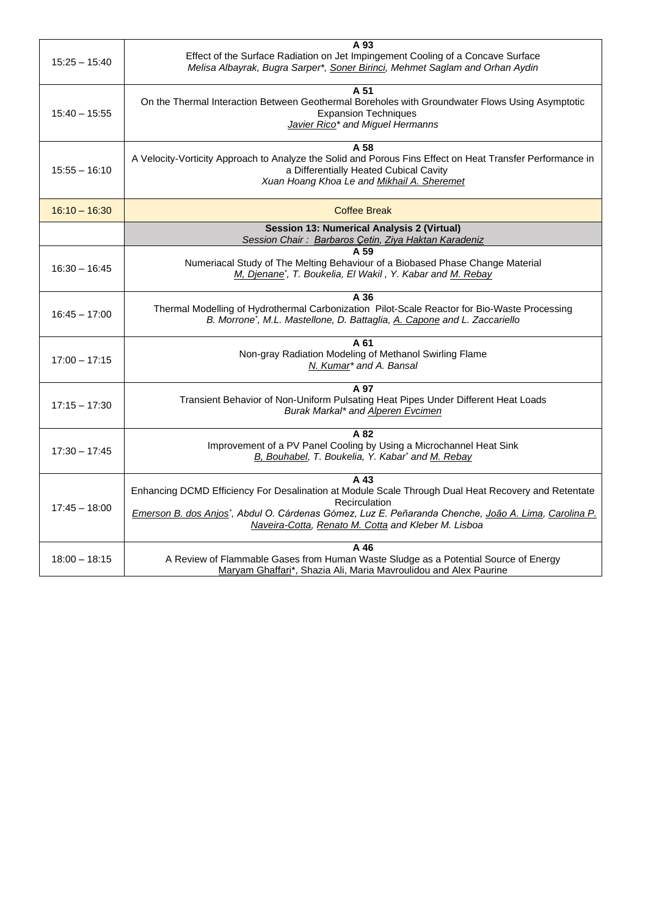| $15:25 - 15:40$ | A 93<br>Effect of the Surface Radiation on Jet Impingement Cooling of a Concave Surface<br>Melisa Albayrak, Bugra Sarper*, Soner Birinci, Mehmet Saglam and Orhan Aydin                                                                                                                                 |
|-----------------|---------------------------------------------------------------------------------------------------------------------------------------------------------------------------------------------------------------------------------------------------------------------------------------------------------|
| $15:40 - 15:55$ | A 51<br>On the Thermal Interaction Between Geothermal Boreholes with Groundwater Flows Using Asymptotic<br><b>Expansion Techniques</b><br>Javier Rico <sup>*</sup> and Miguel Hermanns                                                                                                                  |
| $15:55 - 16:10$ | A 58<br>A Velocity-Vorticity Approach to Analyze the Solid and Porous Fins Effect on Heat Transfer Performance in<br>a Differentially Heated Cubical Cavity<br>Xuan Hoang Khoa Le and Mikhail A. Sheremet                                                                                               |
| $16:10 - 16:30$ | <b>Coffee Break</b>                                                                                                                                                                                                                                                                                     |
|                 | <b>Session 13: Numerical Analysis 2 (Virtual)</b><br>Session Chair: Barbaros Cetin, Ziya Haktan Karadeniz                                                                                                                                                                                               |
| $16:30 - 16:45$ | A 59<br>Numeriacal Study of The Melting Behaviour of a Biobased Phase Change Material<br>M, Djenane <sup>*</sup> , T. Boukelia, El Wakil, Y. Kabar and M. Rebay                                                                                                                                         |
| $16:45 - 17:00$ | A 36<br>Thermal Modelling of Hydrothermal Carbonization Pilot-Scale Reactor for Bio-Waste Processing<br>B. Morrone <sup>*</sup> , M.L. Mastellone, D. Battaglia, A. Capone and L. Zaccariello                                                                                                           |
| $17:00 - 17:15$ | A 61<br>Non-gray Radiation Modeling of Methanol Swirling Flame<br>N. Kumar* and A. Bansal                                                                                                                                                                                                               |
| $17:15 - 17:30$ | A 97<br>Transient Behavior of Non-Uniform Pulsating Heat Pipes Under Different Heat Loads<br>Burak Markal* and Alperen Evcimen                                                                                                                                                                          |
| $17:30 - 17:45$ | A 82<br>Improvement of a PV Panel Cooling by Using a Microchannel Heat Sink<br>B, Bouhabel, T. Boukelia, Y. Kabar* and M. Rebay                                                                                                                                                                         |
| $17:45 - 18:00$ | A 43<br>Enhancing DCMD Efficiency For Desalination at Module Scale Through Dual Heat Recovery and Retentate<br>Recirculation<br>Emerson B. dos Anjos <sup>*</sup> , Abdul O. Cárdenas Gómez, Luz E. Peñaranda Chenche, João A. Lima, Carolina P.<br>Naveira-Cotta, Renato M. Cotta and Kleber M. Lisboa |
| $18:00 - 18:15$ | A 46<br>A Review of Flammable Gases from Human Waste Sludge as a Potential Source of Energy<br>Maryam Ghaffari*, Shazia Ali, Maria Mavroulidou and Alex Paurine                                                                                                                                         |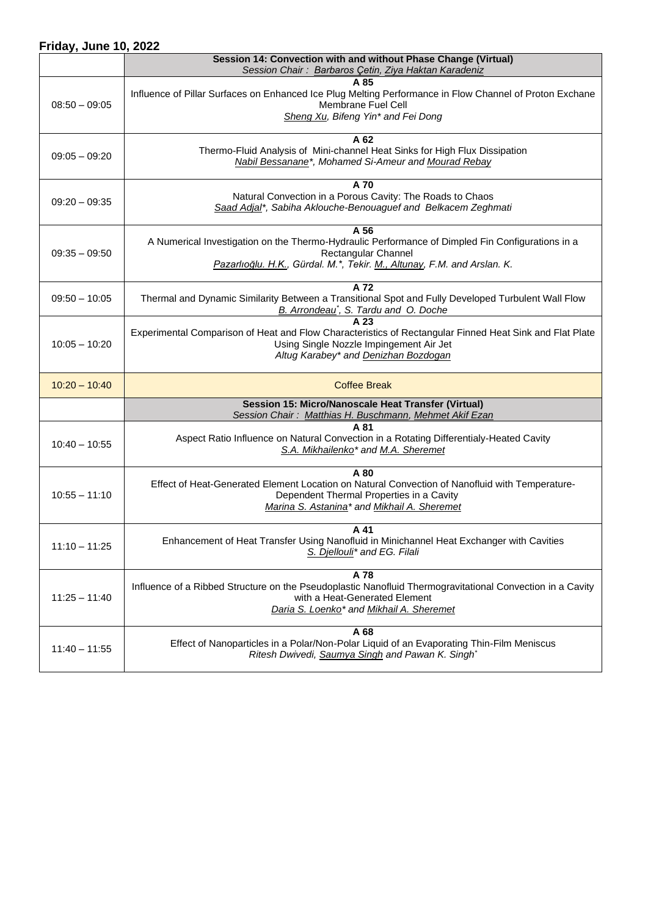## **Friday, June 10, 2022**

|                 | Session 14: Convection with and without Phase Change (Virtual)<br>Session Chair: Barbaros Çetin, Ziya Haktan Karadeniz                                                                                     |
|-----------------|------------------------------------------------------------------------------------------------------------------------------------------------------------------------------------------------------------|
| $08:50 - 09:05$ | A 85<br>Influence of Pillar Surfaces on Enhanced Ice Plug Melting Performance in Flow Channel of Proton Exchane<br>Membrane Fuel Cell<br>Sheng Xu, Bifeng Yin* and Fei Dong                                |
| $09:05 - 09:20$ | A 62<br>Thermo-Fluid Analysis of Mini-channel Heat Sinks for High Flux Dissipation<br>Nabil Bessanane*, Mohamed Si-Ameur and Mourad Rebay                                                                  |
| $09:20 - 09:35$ | A 70<br>Natural Convection in a Porous Cavity: The Roads to Chaos<br>Saad Adjal*, Sabiha Aklouche-Benouaguef and Belkacem Zeghmati                                                                         |
| $09:35 - 09:50$ | A 56<br>A Numerical Investigation on the Thermo-Hydraulic Performance of Dimpled Fin Configurations in a<br>Rectangular Channel<br>Pazarlıoğlu. H.K., Gürdal. M.*, Tekir. M., Altunay, F.M. and Arslan. K. |
| $09:50 - 10:05$ | A 72<br>Thermal and Dynamic Similarity Between a Transitional Spot and Fully Developed Turbulent Wall Flow<br>B. Arrondeau <sup>*</sup> , S. Tardu and O. Doche                                            |
| $10:05 - 10:20$ | Experimental Comparison of Heat and Flow Characteristics of Rectangular Finned Heat Sink and Flat Plate<br>Using Single Nozzle Impingement Air Jet<br>Altug Karabey* and Denizhan Bozdogan                 |
| $10:20 - 10:40$ | <b>Coffee Break</b>                                                                                                                                                                                        |
|                 | Session 15: Micro/Nanoscale Heat Transfer (Virtual)                                                                                                                                                        |
|                 | Session Chair: Matthias H. Buschmann, Mehmet Akif Ezan                                                                                                                                                     |
| $10:40 - 10:55$ | A 81<br>Aspect Ratio Influence on Natural Convection in a Rotating Differentialy-Heated Cavity<br>S.A. Mikhailenko <sup>*</sup> and M.A. Sheremet                                                          |
| $10:55 - 11:10$ | A 80<br>Effect of Heat-Generated Element Location on Natural Convection of Nanofluid with Temperature-<br>Dependent Thermal Properties in a Cavity<br>Marina S. Astanina* and Mikhail A. Sheremet          |
| $11:10 - 11:25$ | A 41<br>Enhancement of Heat Transfer Using Nanofluid in Minichannel Heat Exchanger with Cavities<br>S. Djellouli* and EG. Filali                                                                           |
| $11:25 - 11:40$ | A 78<br>Influence of a Ribbed Structure on the Pseudoplastic Nanofluid Thermogravitational Convection in a Cavity<br>with a Heat-Generated Element<br>Daria S. Loenko* and Mikhail A. Sheremet             |